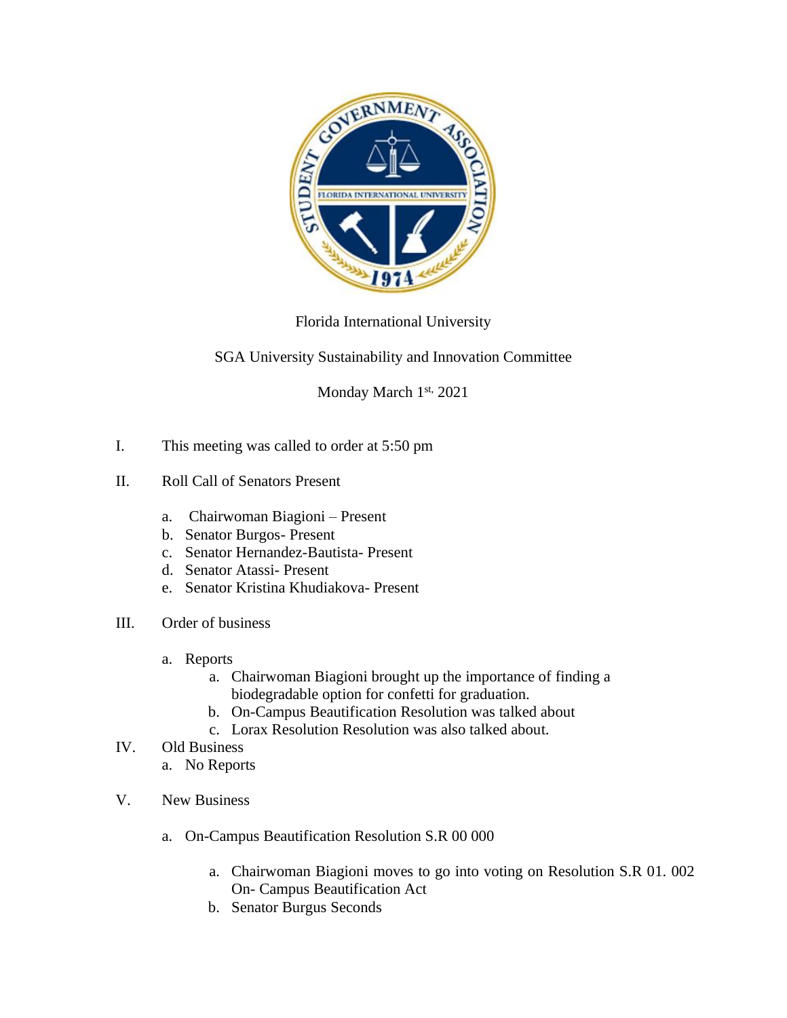

## Florida International University

## SGA University Sustainability and Innovation Committee

Monday March 1st, 2021

- I. This meeting was called to order at 5:50 pm
- II. Roll Call of Senators Present
	- a. Chairwoman Biagioni Present
	- b. Senator Burgos- Present
	- c. Senator Hernandez-Bautista- Present
	- d. Senator Atassi- Present
	- e. Senator Kristina Khudiakova- Present
- III. Order of business
	- a. Reports
		- a. Chairwoman Biagioni brought up the importance of finding a biodegradable option for confetti for graduation.
		- b. On-Campus Beautification Resolution was talked about
		- c. Lorax Resolution Resolution was also talked about.
- IV. Old Business
	- a. No Reports
- V. New Business
	- a. On-Campus Beautification Resolution S.R 00 000
		- a. Chairwoman Biagioni moves to go into voting on Resolution S.R 01. 002 On- Campus Beautification Act
		- b. Senator Burgus Seconds